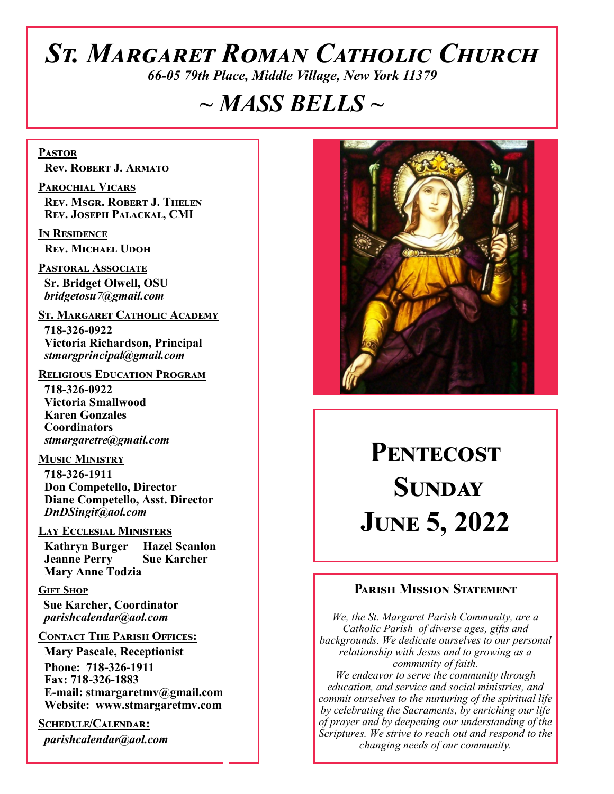# *St. Margaret Roman Catholic Church*

*66-05 79th Place, Middle Village, New York 11379*

# *~ MASS BELLS ~*

**Pastor Rev. Robert J. Armato**

**Parochial Vicars Rev. Msgr. Robert J. Thelen Rev. Joseph Palackal, CMI**

**In Residence Rev. Michael Udoh**

**Pastoral Associate Sr. Bridget Olwell, OSU**  *bridgetosu7@gmail.com*

**St. Margaret Catholic Academy**

 **718-326-0922 Victoria Richardson, Principal**  *stmargprincipal@gmail.com*

#### **Religious Education Program**

 **718-326-0922 Victoria Smallwood Karen Gonzales Coordinators** *stmargaretre@gmail.com*

**Music Ministry 718-326-1911 Don Competello, Director Diane Competello, Asst. Director** *DnDSingit@aol.com*

#### **Lay Ecclesial Ministers**

 **Kathryn Burger Hazel Scanlon Jeanne Perry Sue Karcher Mary Anne Todzia**

#### **Gift Shop**

 **Sue Karcher, Coordinator** *parishcalendar@aol.com*

#### **Contact The Parish Offices:**

 **Mary Pascale, Receptionist Phone: 718-326-1911 Fax: 718-326-1883 E-mail: stmargaretmv@gmail.com Website: www.stmargaretmv.com**

**Schedule/Calendar:** *parishcalendar@aol.com*



# PENTECOST **Sunday June 5, 2022**

#### **Parish Mission Statement**

*We, the St. Margaret Parish Community, are a Catholic Parish of diverse ages, gifts and backgrounds. We dedicate ourselves to our personal relationship with Jesus and to growing as a community of faith. We endeavor to serve the community through education, and service and social ministries, and commit ourselves to the nurturing of the spiritual life by celebrating the Sacraments, by enriching our life of prayer and by deepening our understanding of the Scriptures. We strive to reach out and respond to the* 

*changing needs of our community.*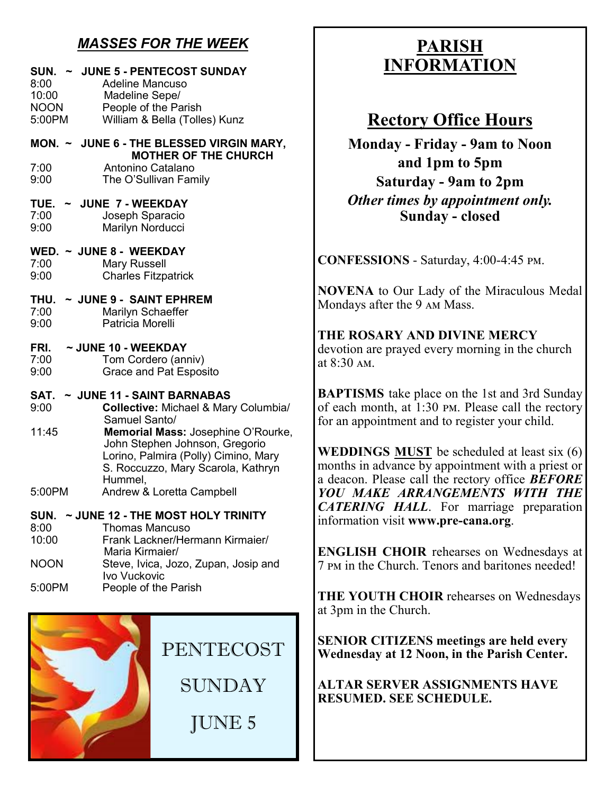## *MASSES FOR THE WEEK*

| SUN. ~ JUNE 5 - PENTECOST SUNDAY<br>8:00<br><b>Adeline Mancuso</b><br>10:00<br>Madeline Sepe/<br><b>NOON</b><br>People of the Parish<br>William & Bella (Tolles) Kunz<br>5:00PM |  |  |
|---------------------------------------------------------------------------------------------------------------------------------------------------------------------------------|--|--|
| MON. ~ JUNE 6 - THE BLESSED VIRGIN MARY,                                                                                                                                        |  |  |
| <b>MOTHER OF THE CHURCH</b><br>Antonino Catalano<br>7:00<br>9:00<br>The O'Sullivan Family                                                                                       |  |  |
| ~ JUNE 7 - WEEKDAY<br>TUE.<br>7:00<br>Joseph Sparacio<br>Marilyn Norducci<br>9:00                                                                                               |  |  |
| WED. ~ JUNE 8 - WEEKDAY<br>7:00<br><b>Mary Russell</b><br><b>Charles Fitzpatrick</b><br>9:00                                                                                    |  |  |
| $\sim$ JUNE 9 - SAINT EPHREM<br>THU.<br>7:00<br>Marilyn Schaeffer<br>Patricia Morelli<br>9:00                                                                                   |  |  |
| FRI.<br>~ JUNE 10 - WEEKDAY<br>7:00<br>Tom Cordero (anniv)<br><b>Grace and Pat Esposito</b><br>9:00                                                                             |  |  |
| ~ JUNE 11 - SAINT BARNABAS<br>SAT.<br>9:00<br><b>Collective: Michael &amp; Mary Columbia/</b><br>Samuel Santo/                                                                  |  |  |
| 11:45<br>Memorial Mass: Josephine O'Rourke,<br>John Stephen Johnson, Gregorio<br>Lorino, Palmira (Polly) Cimino, Mary<br>S. Roccuzzo, Mary Scarola, Kathryn<br>Hummel,          |  |  |
| Andrew & Loretta Campbell<br>5:00PM                                                                                                                                             |  |  |
| ~ JUNE 12 - THE MOST HOLY TRINITY<br>SUN.<br>8:00<br><b>Thomas Mancuso</b><br>10:00<br>Frank Lackner/Hermann Kirmaier/<br>Maria Kirmaier/                                       |  |  |
| <b>NOON</b><br>Steve, Ivica, Jozo, Zupan, Josip and<br>Ivo Vuckovic                                                                                                             |  |  |
| 5:00PM<br>People of the Parish                                                                                                                                                  |  |  |



## **PARISH INFORMATION**

## **Rectory Office Hours**

**Monday - Friday - 9am to Noon and 1pm to 5pm Saturday - 9am to 2pm** *Other times by appointment only.* **Sunday - closed**

**CONFESSIONS** - Saturday, 4:00-4:45 pm.

**NOVENA** to Our Lady of the Miraculous Medal Mondays after the 9 am Mass.

**THE ROSARY AND DIVINE MERCY** devotion are prayed every morning in the church at 8:30 am.

**BAPTISMS** take place on the 1st and 3rd Sunday of each month, at 1:30 pm. Please call the rectory for an appointment and to register your child.

**WEDDINGS MUST** be scheduled at least six (6) months in advance by appointment with a priest or a deacon. Please call the rectory office *BEFORE YOU MAKE ARRANGEMENTS WITH THE CATERING HALL*. For marriage preparation information visit **www.pre-cana.org**.

**ENGLISH CHOIR** rehearses on Wednesdays at 7 pm in the Church. Tenors and baritones needed!

**THE YOUTH CHOIR** rehearses on Wednesdays at 3pm in the Church.

**SENIOR CITIZENS meetings are held every Wednesday at 12 Noon, in the Parish Center.** 

**ALTAR SERVER ASSIGNMENTS HAVE RESUMED. SEE SCHEDULE.**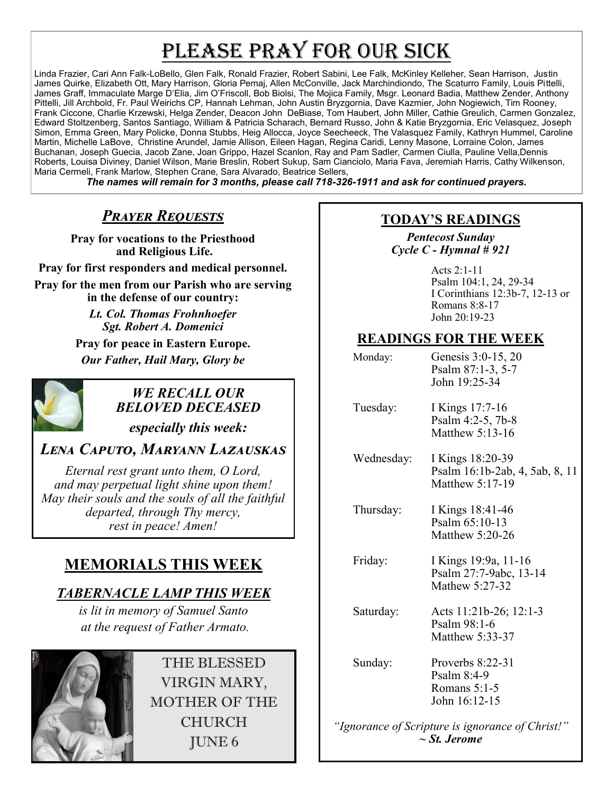# PLEASE PRAY FOR OUR SICK

Linda Frazier, Cari Ann Falk-LoBello, Glen Falk, Ronald Frazier, Robert Sabini, Lee Falk, McKinley Kelleher, Sean Harrison, Justin James Quirke, Elizabeth Ott, Mary Harrison, Gloria Pemaj, Allen McConville, Jack Marchindiondo, The Scaturro Family, Louis Pittelli, James Graff, Immaculate Marge D'Elia, Jim O'Friscoll, Bob Biolsi, The Mojica Family, Msgr. Leonard Badia, Matthew Zender, Anthony Pittelli, Jill Archbold, Fr. Paul Weirichs CP, Hannah Lehman, John Austin Bryzgornia, Dave Kazmier, John Nogiewich, Tim Rooney, Frank Ciccone, Charlie Krzewski, Helga Zender, Deacon John DeBiase, Tom Haubert, John Miller, Cathie Greulich, Carmen Gonzalez, Edward Stoltzenberg, Santos Santiago, William & Patricia Scharach, Bernard Russo, John & Katie Bryzgornia, Eric Velasquez, Joseph Simon, Emma Green, Mary Policke, Donna Stubbs, Heig Allocca, Joyce Seecheeck, The Valasquez Family, Kathryn Hummel, Caroline Martin, Michelle LaBove, Christine Arundel, Jamie Allison, Eileen Hagan, Regina Caridi, Lenny Masone, Lorraine Colon, James Buchanan, Joseph Guecia, Jacob Zane, Joan Grippo, Hazel Scanlon, Ray and Pam Sadler, Carmen Ciulla, Pauline Vella,Dennis Roberts, Louisa Diviney, Daniel Wilson, Marie Breslin, Robert Sukup, Sam Cianciolo, Maria Fava, Jeremiah Harris, Cathy Wilkenson, Maria Cermeli, Frank Marlow, Stephen Crane, Sara Alvarado, Beatrice Sellers,

*The names will remain for 3 months, please call 718-326-1911 and ask for continued prayers.*

## *Prayer Requests*

**Pray for vocations to the Priesthood and Religious Life.**

**Pray for first responders and medical personnel. Pray for the men from our Parish who are serving in the defense of our country:**

> *Lt. Col. Thomas Frohnhoefer Sgt. Robert A. Domenici*

**Pray for peace in Eastern Europe.** *Our Father, Hail Mary, Glory be* 



## *WE RECALL OUR BELOVED DECEASED*

*especially this week:*

## *Lena Caputo, Maryann Lazauskas*

*Eternal rest grant unto them, O Lord, and may perpetual light shine upon them! May their souls and the souls of all the faithful departed, through Thy mercy, rest in peace! Amen!*

## **MEMORIALS THIS WEEK**

## *TABERNACLE LAMP THIS WEEK*

*is lit in memory of Samuel Santo at the request of Father Armato.* 



THE BLESSED VIRGIN MARY, MOTHER OF THE CHURCH JUNE 6

## **TODAY'S READINGS**

*Pentecost Sunday Cycle C - Hymnal # 921* 

> Acts 2:1-11 Psalm 104:1, 24, 29-34 I Corinthians 12:3b-7, 12-13 or Romans 8:8-17 John 20:19-23

## **READINGS FOR THE WEEK**

| Monday:    | Genesis 3:0-15, 20<br>Psalm 87:1-3, 5-7<br>John 19:25-34              |
|------------|-----------------------------------------------------------------------|
| Tuesday:   | I Kings 17:7-16<br>Psalm 4:2-5, 7b-8<br>Matthew 5:13-16               |
| Wednesday: | I Kings 18:20-39<br>Psalm 16:1b-2ab, 4, 5ab, 8, 11<br>Matthew 5:17-19 |
| Thursday:  | I Kings 18:41-46<br>Psalm 65:10-13<br>Matthew 5:20-26                 |
| Friday:    | I Kings 19:9a, 11-16<br>Psalm 27:7-9abc, 13-14<br>Mathew 5:27-32      |
| Saturday:  | Acts 11:21b-26; 12:1-3<br>Psalm $98:1-6$<br>Matthew 5:33-37           |
| Sunday:    | Proverbs $8:22-31$<br>Psalm $8:4-9$<br>Romans 5:1-5                   |

*"Ignorance of Scripture is ignorance of Christ!" ~ St. Jerome*

John 16:12-15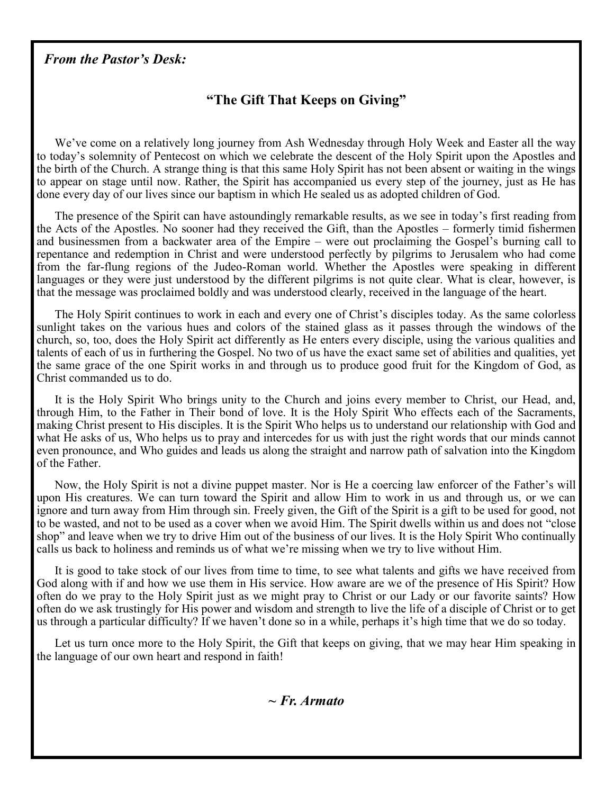### *From the Pastor's Desk:*

## **"The Gift That Keeps on Giving"**

We've come on a relatively long journey from Ash Wednesday through Holy Week and Easter all the way to today's solemnity of Pentecost on which we celebrate the descent of the Holy Spirit upon the Apostles and the birth of the Church. A strange thing is that this same Holy Spirit has not been absent or waiting in the wings to appear on stage until now. Rather, the Spirit has accompanied us every step of the journey, just as He has done every day of our lives since our baptism in which He sealed us as adopted children of God.

The presence of the Spirit can have astoundingly remarkable results, as we see in today's first reading from the Acts of the Apostles. No sooner had they received the Gift, than the Apostles – formerly timid fishermen and businessmen from a backwater area of the Empire – were out proclaiming the Gospel's burning call to repentance and redemption in Christ and were understood perfectly by pilgrims to Jerusalem who had come from the far-flung regions of the Judeo-Roman world. Whether the Apostles were speaking in different languages or they were just understood by the different pilgrims is not quite clear. What is clear, however, is that the message was proclaimed boldly and was understood clearly, received in the language of the heart.

The Holy Spirit continues to work in each and every one of Christ's disciples today. As the same colorless sunlight takes on the various hues and colors of the stained glass as it passes through the windows of the church, so, too, does the Holy Spirit act differently as He enters every disciple, using the various qualities and talents of each of us in furthering the Gospel. No two of us have the exact same set of abilities and qualities, yet the same grace of the one Spirit works in and through us to produce good fruit for the Kingdom of God, as Christ commanded us to do.

It is the Holy Spirit Who brings unity to the Church and joins every member to Christ, our Head, and, through Him, to the Father in Their bond of love. It is the Holy Spirit Who effects each of the Sacraments, making Christ present to His disciples. It is the Spirit Who helps us to understand our relationship with God and what He asks of us, Who helps us to pray and intercedes for us with just the right words that our minds cannot even pronounce, and Who guides and leads us along the straight and narrow path of salvation into the Kingdom of the Father.

Now, the Holy Spirit is not a divine puppet master. Nor is He a coercing law enforcer of the Father's will upon His creatures. We can turn toward the Spirit and allow Him to work in us and through us, or we can ignore and turn away from Him through sin. Freely given, the Gift of the Spirit is a gift to be used for good, not to be wasted, and not to be used as a cover when we avoid Him. The Spirit dwells within us and does not "close shop" and leave when we try to drive Him out of the business of our lives. It is the Holy Spirit Who continually calls us back to holiness and reminds us of what we're missing when we try to live without Him.

It is good to take stock of our lives from time to time, to see what talents and gifts we have received from God along with if and how we use them in His service. How aware are we of the presence of His Spirit? How often do we pray to the Holy Spirit just as we might pray to Christ or our Lady or our favorite saints? How often do we ask trustingly for His power and wisdom and strength to live the life of a disciple of Christ or to get us through a particular difficulty? If we haven't done so in a while, perhaps it's high time that we do so today.

Let us turn once more to the Holy Spirit, the Gift that keeps on giving, that we may hear Him speaking in the language of our own heart and respond in faith!

*~ Fr. Armato*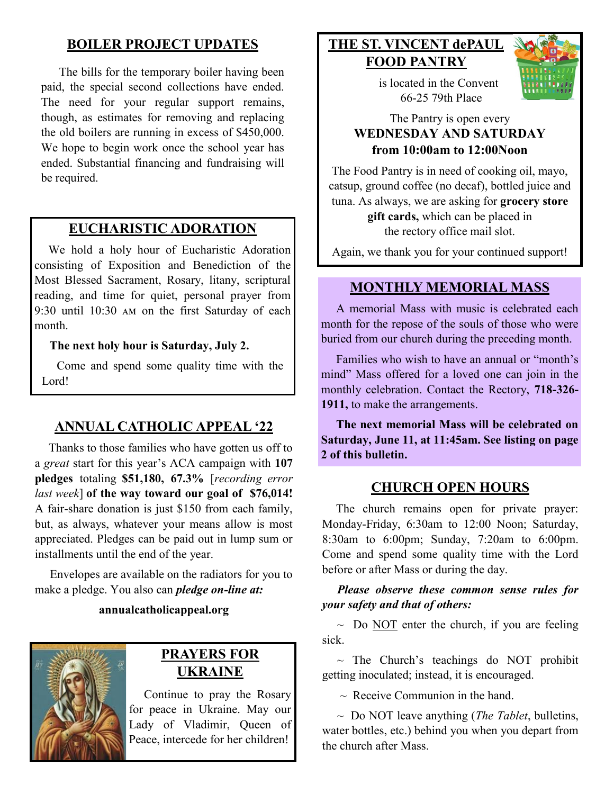## **BOILER PROJECT UPDATES**

The bills for the temporary boiler having been paid, the special second collections have ended. The need for your regular support remains, though, as estimates for removing and replacing the old boilers are running in excess of \$450,000. We hope to begin work once the school year has ended. Substantial financing and fundraising will be required.

## **EUCHARISTIC ADORATION**

 We hold a holy hour of Eucharistic Adoration consisting of Exposition and Benediction of the Most Blessed Sacrament, Rosary, litany, scriptural reading, and time for quiet, personal prayer from 9:30 until 10:30 am on the first Saturday of each month.

#### **The next holy hour is Saturday, July 2.**

 Come and spend some quality time with the Lord!

## **ANNUAL CATHOLIC APPEAL '22**

 Thanks to those families who have gotten us off to a *great* start for this year's ACA campaign with **107 pledges** totaling **\$51,180, 67.3%** [*recording error last week*] **of the way toward our goal of \$76,014!**  A fair-share donation is just \$150 from each family, but, as always, whatever your means allow is most appreciated. Pledges can be paid out in lump sum or installments until the end of the year.

 Envelopes are available on the radiators for you to make a pledge. You also can *pledge on-line at:*

#### **annualcatholicappeal.org**



## **PRAYERS FOR UKRAINE**

 Continue to pray the Rosary for peace in Ukraine. May our Lady of Vladimir, Queen of Peace, intercede for her children!

## **THE ST. VINCENT dePAUL FOOD PANTRY**



 is located in the Convent 66-25 79th Place

#### The Pantry is open every **WEDNESDAY AND SATURDAY from 10:00am to 12:00Noon**

The Food Pantry is in need of cooking oil, mayo, catsup, ground coffee (no decaf), bottled juice and tuna. As always, we are asking for **grocery store gift cards,** which can be placed in the rectory office mail slot.

Again, we thank you for your continued support!

#### **MONTHLY MEMORIAL MASS**

 A memorial Mass with music is celebrated each month for the repose of the souls of those who were buried from our church during the preceding month.

 Families who wish to have an annual or "month's mind" Mass offered for a loved one can join in the monthly celebration. Contact the Rectory, **718-326- 1911,** to make the arrangements.

 **The next memorial Mass will be celebrated on Saturday, June 11, at 11:45am. See listing on page 2 of this bulletin.** 

## **CHURCH OPEN HOURS**

 The church remains open for private prayer: Monday-Friday, 6:30am to 12:00 Noon; Saturday, 8:30am to 6:00pm; Sunday, 7:20am to 6:00pm. Come and spend some quality time with the Lord before or after Mass or during the day.

#### *Please observe these common sense rules for your safety and that of others:*

~ Do NOT enter the church, if you are feeling sick.

 $\sim$  The Church's teachings do NOT prohibit getting inoculated; instead, it is encouraged.

 $\sim$  Receive Communion in the hand.

 ~ Do NOT leave anything (*The Tablet*, bulletins, water bottles, etc.) behind you when you depart from the church after Mass.